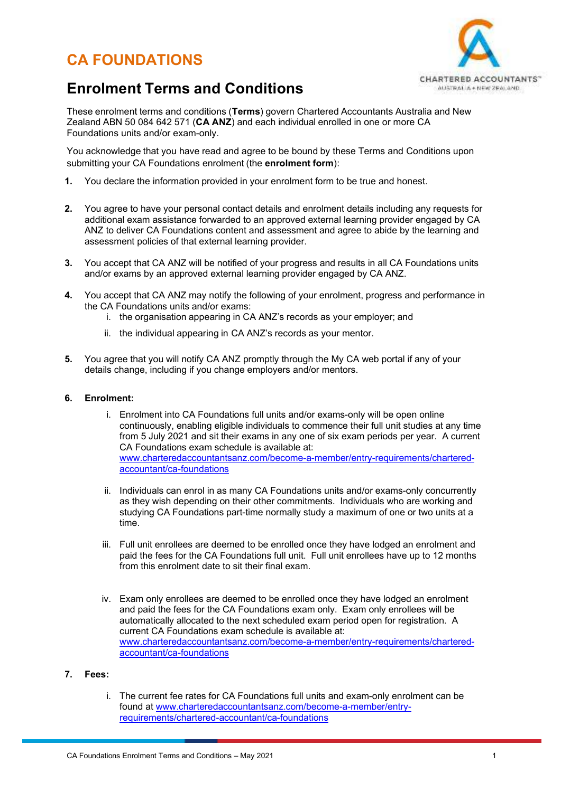# **CA FOUNDATIONS**



## **Enrolment Terms and Conditions**

These enrolment terms and conditions (**Terms**) govern Chartered Accountants Australia and New Zealand ABN 50 084 642 571 (**CA ANZ**) and each individual enrolled in one or more CA Foundations units and/or exam-only.

You acknowledge that you have read and agree to be bound by these Terms and Conditions upon submitting your CA Foundations enrolment (the **enrolment form**):

- **1.** You declare the information provided in your enrolment form to be true and honest.
- **2.** You agree to have your personal contact details and enrolment details including any requests for additional exam assistance forwarded to an approved external learning provider engaged by CA ANZ to deliver CA Foundations content and assessment and agree to abide by the learning and assessment policies of that external learning provider.
- **3.** You accept that CA ANZ will be notified of your progress and results in all CA Foundations units and/or exams by an approved external learning provider engaged by CA ANZ.
- **4.** You accept that CA ANZ may notify the following of your enrolment, progress and performance in the CA Foundations units and/or exams:
	- i. the organisation appearing in CA ANZ's records as your employer; and
	- ii. the individual appearing in CA ANZ's records as your mentor.
- **5.** You agree that you will notify CA ANZ promptly through the My CA web portal if any of your details change, including if you change employers and/or mentors.

## **6. Enrolment:**

- i. Enrolment into CA Foundations full units and/or exams-only will be open online continuously, enabling eligible individuals to commence their full unit studies at any time from 5 July 2021 and sit their exams in any one of six exam periods per year. A current CA Foundations exam schedule is available at: www.charteredaccountantsanz.com/become-a-member/entry-requirements/charteredaccountant/ca-foundations
- ii. Individuals can enrol in as many CA Foundations units and/or exams-only concurrently as they wish depending on their other commitments. Individuals who are working and studying CA Foundations part-time normally study a maximum of one or two units at a time.
- iii. Full unit enrollees are deemed to be enrolled once they have lodged an enrolment and paid the fees for the CA Foundations full unit. Full unit enrollees have up to 12 months from this enrolment date to sit their final exam.
- iv. Exam only enrollees are deemed to be enrolled once they have lodged an enrolment and paid the fees for the CA Foundations exam only. Exam only enrollees will be automatically allocated to the next scheduled exam period open for registration. A current CA Foundations exam schedule is available at: www.charteredaccountantsanz.com/become-a-member/entry-requirements/charteredaccountant/ca-foundations
- **7. Fees:** 
	- i. The current fee rates for CA Foundations full units and exam-only enrolment can be found at www.charteredaccountantsanz.com/become-a-member/entryrequirements/chartered-accountant/ca-foundations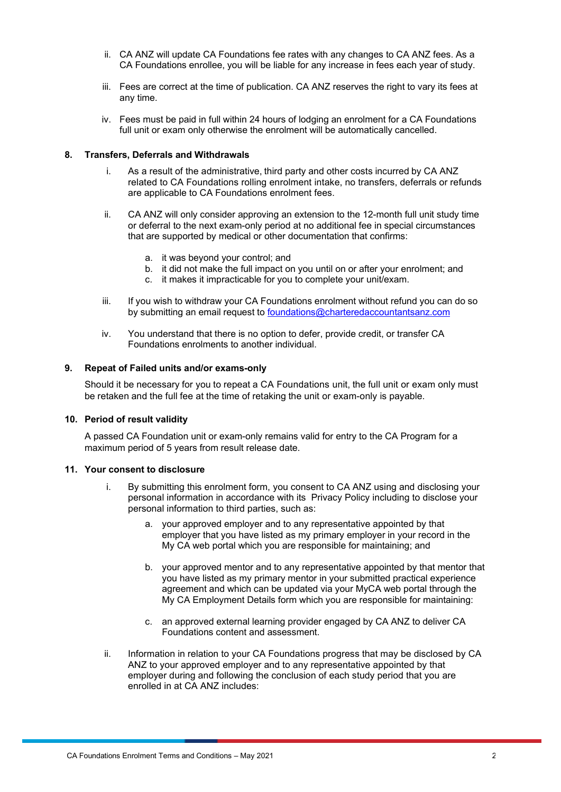- ii. CA ANZ will update CA Foundations fee rates with any changes to CA ANZ fees. As a CA Foundations enrollee, you will be liable for any increase in fees each year of study.
- iii. Fees are correct at the time of publication. CA ANZ reserves the right to vary its fees at any time.
- iv. Fees must be paid in full within 24 hours of lodging an enrolment for a CA Foundations full unit or exam only otherwise the enrolment will be automatically cancelled.

## **8. Transfers, Deferrals and Withdrawals**

- i. As a result of the administrative, third party and other costs incurred by CA ANZ related to CA Foundations rolling enrolment intake, no transfers, deferrals or refunds are applicable to CA Foundations enrolment fees.
- ii. CA ANZ will only consider approving an extension to the 12-month full unit study time or deferral to the next exam-only period at no additional fee in special circumstances that are supported by medical or other documentation that confirms:
	- a. it was beyond your control; and
	- b. it did not make the full impact on you until on or after your enrolment; and
	- c. it makes it impracticable for you to complete your unit/exam.
- iii. If you wish to withdraw your CA Foundations enrolment without refund you can do so by submitting an email request to foundations@charteredaccountantsanz.com
- iv. You understand that there is no option to defer, provide credit, or transfer CA Foundations enrolments to another individual.

## **9. Repeat of Failed units and/or exams-only**

Should it be necessary for you to repeat a CA Foundations unit, the full unit or exam only must be retaken and the full fee at the time of retaking the unit or exam-only is payable.

### **10. Period of result validity**

A passed CA Foundation unit or exam-only remains valid for entry to the CA Program for a maximum period of 5 years from result release date.

### **11. Your consent to disclosure**

- i. By submitting this enrolment form, you consent to CA ANZ using and disclosing your personal information in accordance with its Privacy Policy including to disclose your personal information to third parties, such as:
	- a. your approved employer and to any representative appointed by that employer that you have listed as my primary employer in your record in the My CA web portal which you are responsible for maintaining; and
	- b. your approved mentor and to any representative appointed by that mentor that you have listed as my primary mentor in your submitted practical experience agreement and which can be updated via your MyCA web portal through the My CA Employment Details form which you are responsible for maintaining:
	- c. an approved external learning provider engaged by CA ANZ to deliver CA Foundations content and assessment.
- ii. Information in relation to your CA Foundations progress that may be disclosed by CA ANZ to your approved employer and to any representative appointed by that employer during and following the conclusion of each study period that you are enrolled in at CA ANZ includes: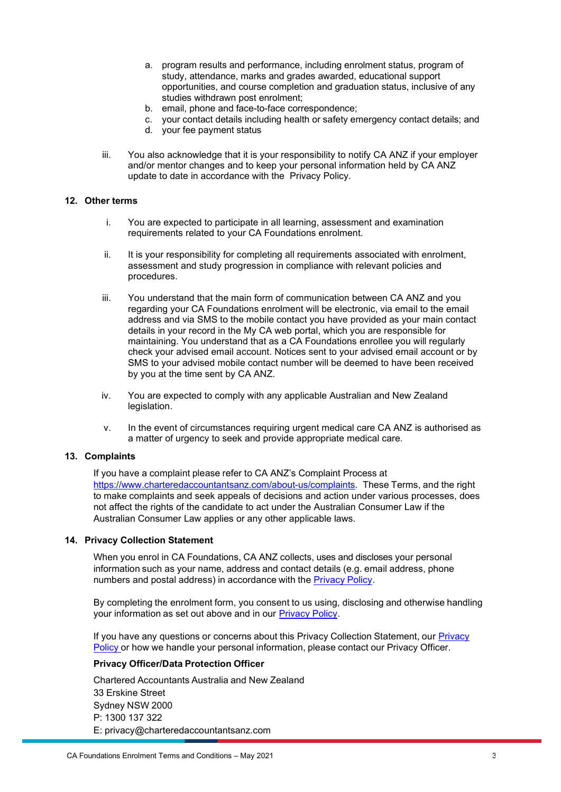- a. program results and performance, including enrolment status, program of study, attendance, marks and grades awarded, educational support opportunities, and course completion and graduation status, inclusive of any studies withdrawn post enrolment;
- b. email, phone and face-to-face correspondence;
- c. your contact details including health or safety emergency contact details; and
- d. your fee payment status
- iii. You also acknowledge that it is your responsibility to notify CA ANZ if your employer and/or mentor changes and to keep your personal information held by CA ANZ update to date in accordance with the Privacy Policy.

## **12. Other terms**

- i. You are expected to participate in all learning, assessment and examination requirements related to your CA Foundations enrolment.
- ii. It is your responsibility for completing all requirements associated with enrolment, assessment and study progression in compliance with relevant policies and procedures.
- iii. You understand that the main form of communication between CA ANZ and you regarding your CA Foundations enrolment will be electronic, via email to the email address and via SMS to the mobile contact you have provided as your main contact details in your record in the My CA web portal, which you are responsible for maintaining. You understand that as a CA Foundations enrollee you will regularly check your advised email account. Notices sent to your advised email account or by SMS to your advised mobile contact number will be deemed to have been received by you at the time sent by CA ANZ.
- iv. You are expected to comply with any applicable Australian and New Zealand legislation.
- v. In the event of circumstances requiring urgent medical care CA ANZ is authorised as a matter of urgency to seek and provide appropriate medical care.

### **13. Complaints**

If you have a complaint please refer to CA ANZ's Complaint Process at https://www.charteredaccountantsanz.com/about-us/complaints. These Terms, and the right to make complaints and seek appeals of decisions and action under various processes, does not affect the rights of the candidate to act under the Australian Consumer Law if the Australian Consumer Law applies or any other applicable laws.

### **14. Privacy Collection Statement**

When you enrol in CA Foundations, CA ANZ collects, uses and discloses your personal information such as your name, address and contact details (e.g. email address, phone numbers and postal address) in accordance with the Privacy Policy.

By completing the enrolment form, you consent to us using, disclosing and otherwise handling your information as set out above and in our Privacy Policy.

If you have any questions or concerns about this Privacy Collection Statement, our Privacy Policy or how we handle your personal information, please contact our Privacy Officer.

## **Privacy Officer/Data Protection Officer**

Chartered Accountants Australia and New Zealand 33 Erskine Street Sydney NSW 2000 P: 1300 137 322 E: privacy@charteredaccountantsanz.com